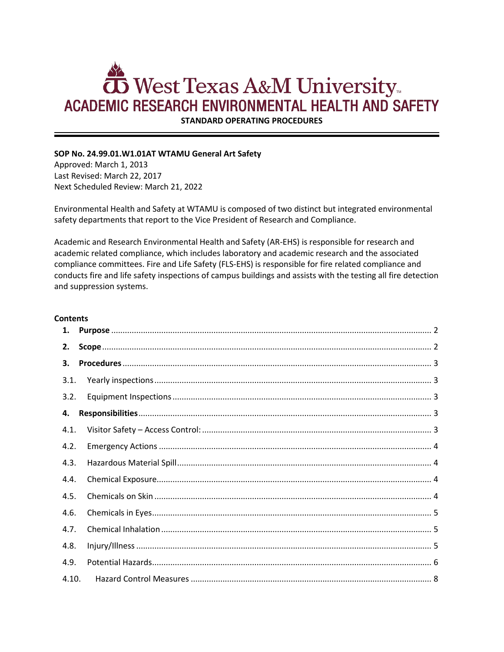# **TO** West Texas A&M University **ACADEMIC RESEARCH ENVIRONMENTAL HEALTH AND SAFETY**

**STANDARD OPERATING PROCEDURES**

# **SOP No. 24.99.01.W1.01AT WTAMU General Art Safety**

Approved: March 1, 2013 Last Revised: March 22, 2017 Next Scheduled Review: March 21, 2022

Environmental Health and Safety at WTAMU is composed of two distinct but integrated environmental safety departments that report to the Vice President of Research and Compliance.

Academic and Research Environmental Health and Safety (AR-EHS) is responsible for research and academic related compliance, which includes laboratory and academic research and the associated compliance committees. Fire and Life Safety (FLS-EHS) is responsible for fire related compliance and conducts fire and life safety inspections of campus buildings and assists with the testing all fire detection and suppression systems.

## **Contents**

| 1.    |  |
|-------|--|
| 2.    |  |
| 3.    |  |
| 3.1.  |  |
| 3.2.  |  |
| 4.    |  |
| 4.1.  |  |
| 4.2.  |  |
| 4.3.  |  |
| 4.4.  |  |
| 4.5.  |  |
| 4.6.  |  |
| 4.7.  |  |
| 4.8.  |  |
| 4.9.  |  |
| 4.10. |  |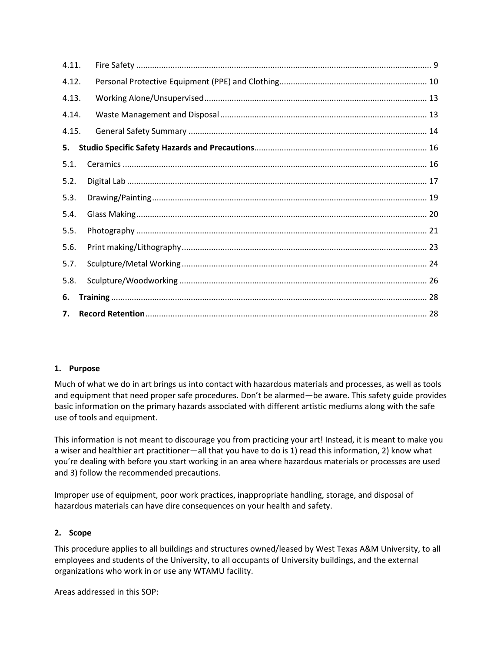| 4.11. |  |  |  |
|-------|--|--|--|
| 4.12. |  |  |  |
| 4.13. |  |  |  |
| 4.14. |  |  |  |
| 4.15. |  |  |  |
| 5.    |  |  |  |
| 5.1.  |  |  |  |
| 5.2.  |  |  |  |
| 5.3.  |  |  |  |
| 5.4.  |  |  |  |
| 5.5.  |  |  |  |
| 5.6.  |  |  |  |
| 5.7.  |  |  |  |
| 5.8.  |  |  |  |
| 6.    |  |  |  |
| 7.    |  |  |  |

# <span id="page-1-0"></span>**1. Purpose**

Much of what we do in art brings us into contact with hazardous materials and processes, as well as tools and equipment that need proper safe procedures. Don't be alarmed—be aware. This safety guide provides basic information on the primary hazards associated with different artistic mediums along with the safe use of tools and equipment.

This information is not meant to discourage you from practicing your art! Instead, it is meant to make you a wiser and healthier art practitioner—all that you have to do is 1) read this information, 2) know what you're dealing with before you start working in an area where hazardous materials or processes are used and 3) follow the recommended precautions.

Improper use of equipment, poor work practices, inappropriate handling, storage, and disposal of hazardous materials can have dire consequences on your health and safety.

# <span id="page-1-1"></span>**2. Scope**

This procedure applies to all buildings and structures owned/leased by West Texas A&M University, to all employees and students of the University, to all occupants of University buildings, and the external organizations who work in or use any WTAMU facility.

Areas addressed in this SOP: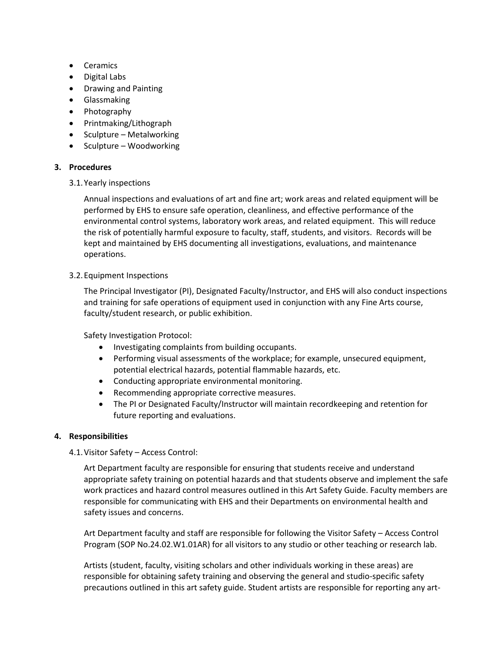- Ceramics
- Digital Labs
- Drawing and Painting
- Glassmaking
- Photography
- Printmaking/Lithograph
- Sculpture Metalworking
- Sculpture Woodworking

# <span id="page-2-0"></span>**3. Procedures**

<span id="page-2-1"></span>3.1.Yearly inspections

Annual inspections and evaluations of art and fine art; work areas and related equipment will be performed by EHS to ensure safe operation, cleanliness, and effective performance of the environmental control systems, laboratory work areas, and related equipment. This will reduce the risk of potentially harmful exposure to faculty, staff, students, and visitors. Records will be kept and maintained by EHS documenting all investigations, evaluations, and maintenance operations.

# <span id="page-2-2"></span>3.2.Equipment Inspections

The Principal Investigator (PI), Designated Faculty/Instructor, and EHS will also conduct inspections and training for safe operations of equipment used in conjunction with any Fine Arts course, faculty/student research, or public exhibition.

Safety Investigation Protocol:

- Investigating complaints from building occupants.
- Performing visual assessments of the workplace; for example, unsecured equipment, potential electrical hazards, potential flammable hazards, etc.
- Conducting appropriate environmental monitoring.
- Recommending appropriate corrective measures.
- The PI or Designated Faculty/Instructor will maintain recordkeeping and retention for future reporting and evaluations.

# <span id="page-2-4"></span><span id="page-2-3"></span>**4. Responsibilities**

4.1.Visitor Safety – Access Control:

Art Department faculty are responsible for ensuring that students receive and understand appropriate safety training on potential hazards and that students observe and implement the safe work practices and hazard control measures outlined in this Art Safety Guide. Faculty members are responsible for communicating with EHS and their Departments on environmental health and safety issues and concerns.

Art Department faculty and staff are responsible for following the Visitor Safety – Access Control Program (SOP No.24.02.W1.01AR) for all visitors to any studio or other teaching or research lab.

Artists (student, faculty, visiting scholars and other individuals working in these areas) are responsible for obtaining safety training and observing the general and studio-specific safety precautions outlined in this art safety guide. Student artists are responsible for reporting any art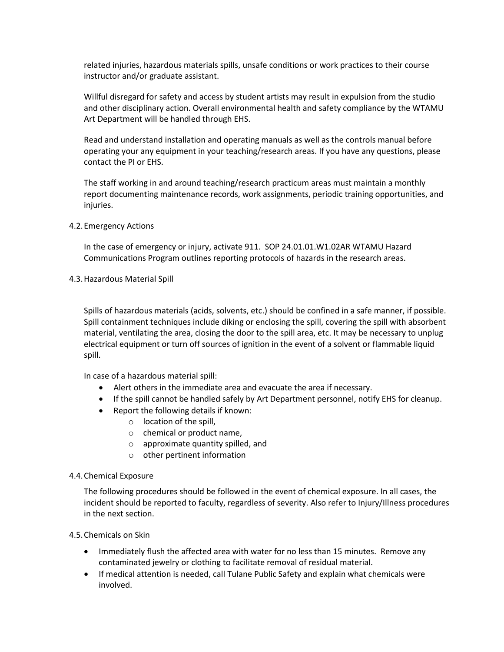related injuries, hazardous materials spills, unsafe conditions or work practices to their course instructor and/or graduate assistant.

Willful disregard for safety and access by student artists may result in expulsion from the studio and other disciplinary action. Overall environmental health and safety compliance by the WTAMU Art Department will be handled through EHS.

Read and understand installation and operating manuals as well as the controls manual before operating your any equipment in your teaching/research areas. If you have any questions, please contact the PI or EHS.

The staff working in and around teaching/research practicum areas must maintain a monthly report documenting maintenance records, work assignments, periodic training opportunities, and injuries.

<span id="page-3-0"></span>4.2.Emergency Actions

In the case of emergency or injury, activate 911. SOP [24.01.01.W1.02AR WTAMU Hazard](http://www.wtamu.edu/environmental_safety/faculty-sop.aspx#0002)  [Communications Program](http://www.wtamu.edu/environmental_safety/faculty-sop.aspx#0002) outlines reporting protocols of hazards in the research areas.

<span id="page-3-1"></span>4.3.Hazardous Material Spill

Spills of hazardous materials (acids, solvents, etc.) should be confined in a safe manner, if possible. Spill containment techniques include diking or enclosing the spill, covering the spill with absorbent material, ventilating the area, closing the door to the spill area, etc. It may be necessary to unplug electrical equipment or turn off sources of ignition in the event of a solvent or flammable liquid spill.

In case of a hazardous material spill:

- Alert others in the immediate area and evacuate the area if necessary.
- If the spill cannot be handled safely by Art Department personnel, notify EHS for cleanup.
- Report the following details if known:
	- o location of the spill,
	- o chemical or product name,
	- o approximate quantity spilled, and
	- o other pertinent information

# <span id="page-3-2"></span>4.4.Chemical Exposure

The following procedures should be followed in the event of chemical exposure. In all cases, the incident should be reported to faculty, regardless of severity. Also refer to Injury/Illness procedures in the next section.

# <span id="page-3-3"></span>4.5.Chemicals on Skin

- Immediately flush the affected area with water for no less than 15 minutes. Remove any contaminated jewelry or clothing to facilitate removal of residual material.
- If medical attention is needed, call Tulane Public Safety and explain what chemicals were involved.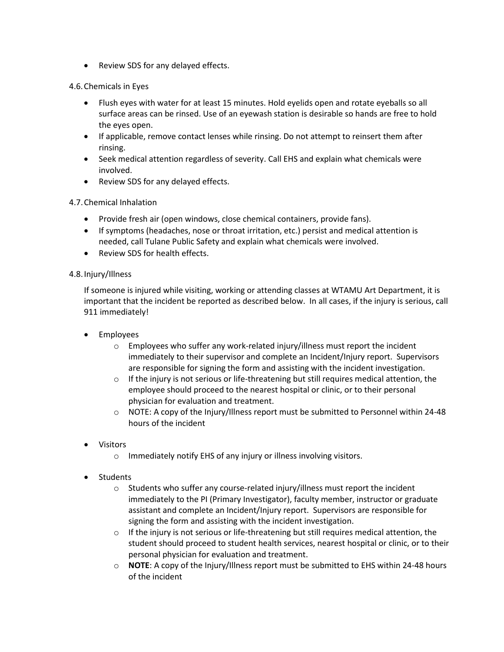• Review SDS for any delayed effects.

# <span id="page-4-0"></span>4.6.Chemicals in Eyes

- Flush eyes with water for at least 15 minutes. Hold eyelids open and rotate eyeballs so all surface areas can be rinsed. Use of an eyewash station is desirable so hands are free to hold the eyes open.
- If applicable, remove contact lenses while rinsing. Do not attempt to reinsert them after rinsing.
- Seek medical attention regardless of severity. Call EHS and explain what chemicals were involved.
- Review SDS for any delayed effects.

# <span id="page-4-1"></span>4.7.Chemical Inhalation

- Provide fresh air (open windows, close chemical containers, provide fans).
- If symptoms (headaches, nose or throat irritation, etc.) persist and medical attention is needed, call Tulane Public Safety and explain what chemicals were involved.
- Review SDS for health effects.

# <span id="page-4-2"></span>4.8.Injury/Illness

If someone is injured while visiting, working or attending classes at WTAMU Art Department, it is important that the incident be reported as described below. In all cases, if the injury is serious, call 911 immediately!

- Employees
	- o Employees who suffer any work-related injury/illness must report the incident immediately to their supervisor and complete an Incident/Injury report. Supervisors are responsible for signing the form and assisting with the incident investigation.
	- o If the injury is not serious or life-threatening but still requires medical attention, the employee should proceed to the nearest hospital or clinic, or to their personal physician for evaluation and treatment.
	- o NOTE: A copy of the Injury/Illness report must be submitted to Personnel within 24-48 hours of the incident
- Visitors
	- o Immediately notify EHS of any injury or illness involving visitors.
- **Students** 
	- o Students who suffer any course-related injury/illness must report the incident immediately to the PI (Primary Investigator), faculty member, instructor or graduate assistant and complete an Incident/Injury report. Supervisors are responsible for signing the form and assisting with the incident investigation.
	- $\circ$  If the injury is not serious or life-threatening but still requires medical attention, the student should proceed to student health services, nearest hospital or clinic, or to their personal physician for evaluation and treatment.
	- o **NOTE**: A copy of the Injury/Illness report must be submitted to EHS within 24-48 hours of the incident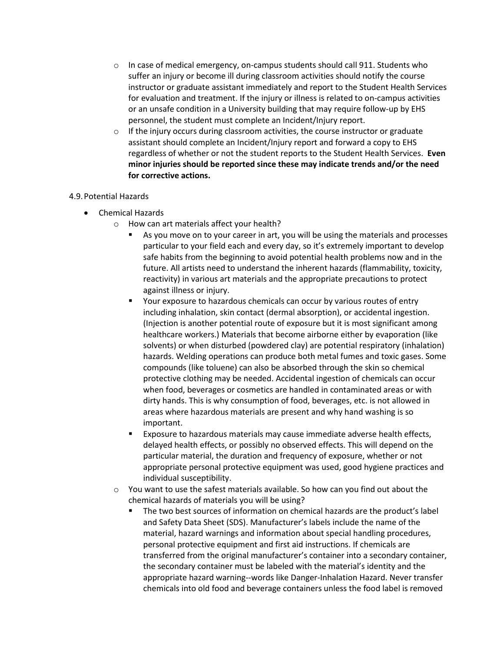- $\circ$  In case of medical emergency, on-campus students should call 911. Students who suffer an injury or become ill during classroom activities should notify the course instructor or graduate assistant immediately and report to the Student Health Services for evaluation and treatment. If the injury or illness is related to on-campus activities or an unsafe condition in a University building that may require follow-up by EHS personnel, the student must complete an Incident/Injury report.
- $\circ$  If the injury occurs during classroom activities, the course instructor or graduate assistant should complete an Incident/Injury report and forward a copy to EHS regardless of whether or not the student reports to the Student Health Services. **Even minor injuries should be reported since these may indicate trends and/or the need for corrective actions.**

# <span id="page-5-0"></span>4.9.Potential Hazards

- Chemical Hazards
	- o How can art materials affect your health?
		- As you move on to your career in art, you will be using the materials and processes particular to your field each and every day, so it's extremely important to develop safe habits from the beginning to avoid potential health problems now and in the future. All artists need to understand the inherent hazards (flammability, toxicity, reactivity) in various art materials and the appropriate precautions to protect against illness or injury.
		- Your exposure to hazardous chemicals can occur by various routes of entry including inhalation, skin contact (dermal absorption), or accidental ingestion. (Injection is another potential route of exposure but it is most significant among healthcare workers.) Materials that become airborne either by evaporation (like solvents) or when disturbed (powdered clay) are potential respiratory (inhalation) hazards. Welding operations can produce both metal fumes and toxic gases. Some compounds (like toluene) can also be absorbed through the skin so chemical protective clothing may be needed. Accidental ingestion of chemicals can occur when food, beverages or cosmetics are handled in contaminated areas or with dirty hands. This is why consumption of food, beverages, etc. is not allowed in areas where hazardous materials are present and why hand washing is so important.
		- Exposure to hazardous materials may cause immediate adverse health effects, delayed health effects, or possibly no observed effects. This will depend on the particular material, the duration and frequency of exposure, whether or not appropriate personal protective equipment was used, good hygiene practices and individual susceptibility.
	- $\circ$  You want to use the safest materials available. So how can you find out about the chemical hazards of materials you will be using?
		- The two best sources of information on chemical hazards are the product's label and Safety Data Sheet (SDS). Manufacturer's labels include the name of the material, hazard warnings and information about special handling procedures, personal protective equipment and first aid instructions. If chemicals are transferred from the original manufacturer's container into a secondary container, the secondary container must be labeled with the material's identity and the appropriate hazard warning--words like Danger-Inhalation Hazard. Never transfer chemicals into old food and beverage containers unless the food label is removed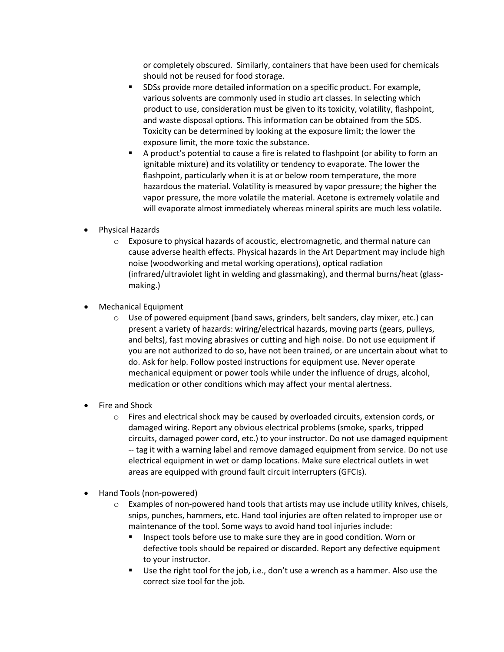or completely obscured. Similarly, containers that have been used for chemicals should not be reused for food storage.

- SDSs provide more detailed information on a specific product. For example, various solvents are commonly used in studio art classes. In selecting which product to use, consideration must be given to its toxicity, volatility, flashpoint, and waste disposal options. This information can be obtained from the SDS. Toxicity can be determined by looking at the exposure limit; the lower the exposure limit, the more toxic the substance.
- A product's potential to cause a fire is related to flashpoint (or ability to form an ignitable mixture) and its volatility or tendency to evaporate. The lower the flashpoint, particularly when it is at or below room temperature, the more hazardous the material. Volatility is measured by vapor pressure; the higher the vapor pressure, the more volatile the material. Acetone is extremely volatile and will evaporate almost immediately whereas mineral spirits are much less volatile.
- Physical Hazards
	- $\circ$  Exposure to physical hazards of acoustic, electromagnetic, and thermal nature can cause adverse health effects. Physical hazards in the Art Department may include high noise (woodworking and metal working operations), optical radiation (infrared/ultraviolet light in welding and glassmaking), and thermal burns/heat (glassmaking.)
- Mechanical Equipment
	- $\circ$  Use of powered equipment (band saws, grinders, belt sanders, clay mixer, etc.) can present a variety of hazards: wiring/electrical hazards, moving parts (gears, pulleys, and belts), fast moving abrasives or cutting and high noise. Do not use equipment if you are not authorized to do so, have not been trained, or are uncertain about what to do. Ask for help. Follow posted instructions for equipment use. Never operate mechanical equipment or power tools while under the influence of drugs, alcohol, medication or other conditions which may affect your mental alertness.
- Fire and Shock
	- $\circ$  Fires and electrical shock may be caused by overloaded circuits, extension cords, or damaged wiring. Report any obvious electrical problems (smoke, sparks, tripped circuits, damaged power cord, etc.) to your instructor. Do not use damaged equipment -- tag it with a warning label and remove damaged equipment from service. Do not use electrical equipment in wet or damp locations. Make sure electrical outlets in wet areas are equipped with ground fault circuit interrupters (GFCIs).
- Hand Tools (non-powered)
	- $\circ$  Examples of non-powered hand tools that artists may use include utility knives, chisels, snips, punches, hammers, etc. Hand tool injuries are often related to improper use or maintenance of the tool. Some ways to avoid hand tool injuries include:
		- Inspect tools before use to make sure they are in good condition. Worn or defective tools should be repaired or discarded. Report any defective equipment to your instructor.
		- Use the right tool for the job, i.e., don't use a wrench as a hammer. Also use the correct size tool for the job.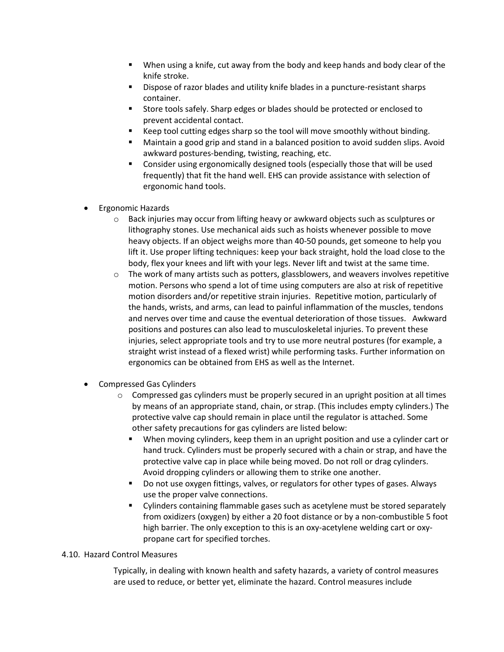- When using a knife, cut away from the body and keep hands and body clear of the knife stroke.
- Dispose of razor blades and utility knife blades in a puncture-resistant sharps container.
- Store tools safely. Sharp edges or blades should be protected or enclosed to prevent accidental contact.
- Keep tool cutting edges sharp so the tool will move smoothly without binding.
- Maintain a good grip and stand in a balanced position to avoid sudden slips. Avoid awkward postures-bending, twisting, reaching, etc.
- Consider using ergonomically designed tools (especially those that will be used frequently) that fit the hand well. EHS can provide assistance with selection of ergonomic hand tools.
- Ergonomic Hazards
	- $\circ$  Back injuries may occur from lifting heavy or awkward objects such as sculptures or lithography stones. Use mechanical aids such as hoists whenever possible to move heavy objects. If an object weighs more than 40-50 pounds, get someone to help you lift it. Use proper lifting techniques: keep your back straight, hold the load close to the body, flex your knees and lift with your legs. Never lift and twist at the same time.
	- $\circ$  The work of many artists such as potters, glassblowers, and weavers involves repetitive motion. Persons who spend a lot of time using computers are also at risk of repetitive motion disorders and/or repetitive strain injuries. Repetitive motion, particularly of the hands, wrists, and arms, can lead to painful inflammation of the muscles, tendons and nerves over time and cause the eventual deterioration of those tissues. Awkward positions and postures can also lead to musculoskeletal injuries. To prevent these injuries, select appropriate tools and try to use more neutral postures (for example, a straight wrist instead of a flexed wrist) while performing tasks. Further information on ergonomics can be obtained from EHS as well as the Internet.
- Compressed Gas Cylinders
	- $\circ$  Compressed gas cylinders must be properly secured in an upright position at all times by means of an appropriate stand, chain, or strap. (This includes empty cylinders.) The protective valve cap should remain in place until the regulator is attached. Some other safety precautions for gas cylinders are listed below:
		- When moving cylinders, keep them in an upright position and use a cylinder cart or hand truck. Cylinders must be properly secured with a chain or strap, and have the protective valve cap in place while being moved. Do not roll or drag cylinders. Avoid dropping cylinders or allowing them to strike one another.
		- Do not use oxygen fittings, valves, or regulators for other types of gases. Always use the proper valve connections.
		- Cylinders containing flammable gases such as acetylene must be stored separately from oxidizers (oxygen) by either a 20 foot distance or by a non-combustible 5 foot high barrier. The only exception to this is an oxy-acetylene welding cart or oxypropane cart for specified torches.

# <span id="page-7-0"></span>4.10. Hazard Control Measures

Typically, in dealing with known health and safety hazards, a variety of control measures are used to reduce, or better yet, eliminate the hazard. Control measures include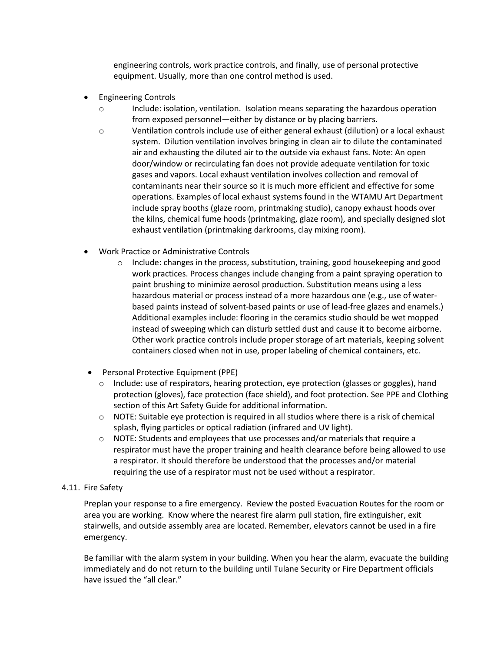engineering controls, work practice controls, and finally, use of personal protective equipment. Usually, more than one control method is used.

- Engineering Controls
	- o Include: isolation, ventilation. Isolation means separating the hazardous operation from exposed personnel—either by distance or by placing barriers.
	- o Ventilation controls include use of either general exhaust (dilution) or a local exhaust system. Dilution ventilation involves bringing in clean air to dilute the contaminated air and exhausting the diluted air to the outside via exhaust fans. Note: An open door/window or recirculating fan does not provide adequate ventilation for toxic gases and vapors. Local exhaust ventilation involves collection and removal of contaminants near their source so it is much more efficient and effective for some operations. Examples of local exhaust systems found in the WTAMU Art Department include spray booths (glaze room, printmaking studio), canopy exhaust hoods over the kilns, chemical fume hoods (printmaking, glaze room), and specially designed slot exhaust ventilation (printmaking darkrooms, clay mixing room).
- Work Practice or Administrative Controls
	- $\circ$  Include: changes in the process, substitution, training, good housekeeping and good work practices. Process changes include changing from a paint spraying operation to paint brushing to minimize aerosol production. Substitution means using a less hazardous material or process instead of a more hazardous one (e.g., use of waterbased paints instead of solvent-based paints or use of lead-free glazes and enamels.) Additional examples include: flooring in the ceramics studio should be wet mopped instead of sweeping which can disturb settled dust and cause it to become airborne. Other work practice controls include proper storage of art materials, keeping solvent containers closed when not in use, proper labeling of chemical containers, etc.
- Personal Protective Equipment (PPE)
	- $\circ$  Include: use of respirators, hearing protection, eye protection (glasses or goggles), hand protection (gloves), face protection (face shield), and foot protection. See PPE and Clothing section of this Art Safety Guide for additional information.
	- $\circ$  NOTE: Suitable eye protection is required in all studios where there is a risk of chemical splash, flying particles or optical radiation (infrared and UV light).
	- $\circ$  NOTE: Students and employees that use processes and/or materials that require a respirator must have the proper training and health clearance before being allowed to use a respirator. It should therefore be understood that the processes and/or material requiring the use of a respirator must not be used without a respirator.

# <span id="page-8-0"></span>4.11. Fire Safety

Preplan your response to a fire emergency. Review the posted Evacuation Routes for the room or area you are working. Know where the nearest fire alarm pull station, fire extinguisher, exit stairwells, and outside assembly area are located. Remember, elevators cannot be used in a fire emergency.

Be familiar with the alarm system in your building. When you hear the alarm, evacuate the building immediately and do not return to the building until Tulane Security or Fire Department officials have issued the "all clear."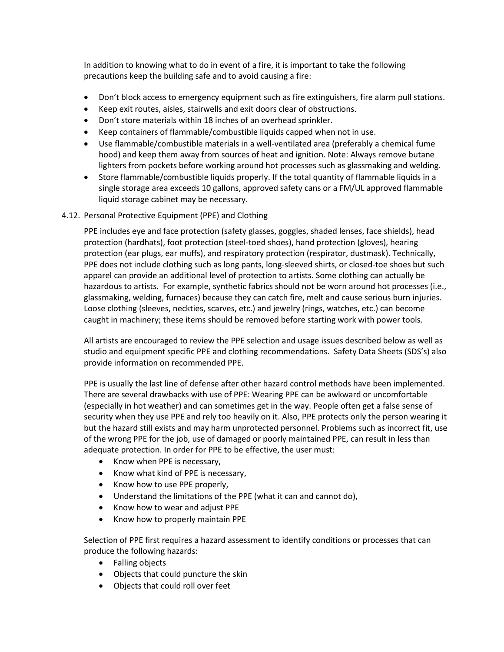In addition to knowing what to do in event of a fire, it is important to take the following precautions keep the building safe and to avoid causing a fire:

- Don't block access to emergency equipment such as fire extinguishers, fire alarm pull stations.
- Keep exit routes, aisles, stairwells and exit doors clear of obstructions.
- Don't store materials within 18 inches of an overhead sprinkler.
- Keep containers of flammable/combustible liquids capped when not in use.
- Use flammable/combustible materials in a well-ventilated area (preferably a chemical fume hood) and keep them away from sources of heat and ignition. Note: Always remove butane lighters from pockets before working around hot processes such as glassmaking and welding.
- Store flammable/combustible liquids properly. If the total quantity of flammable liquids in a single storage area exceeds 10 gallons, approved safety cans or a FM/UL approved flammable liquid storage cabinet may be necessary.

## <span id="page-9-0"></span>4.12. Personal Protective Equipment (PPE) and Clothing

PPE includes eye and face protection (safety glasses, goggles, shaded lenses, face shields), head protection (hardhats), foot protection (steel-toed shoes), hand protection (gloves), hearing protection (ear plugs, ear muffs), and respiratory protection (respirator, dustmask). Technically, PPE does not include clothing such as long pants, long-sleeved shirts, or closed-toe shoes but such apparel can provide an additional level of protection to artists. Some clothing can actually be hazardous to artists. For example, synthetic fabrics should not be worn around hot processes (i.e., glassmaking, welding, furnaces) because they can catch fire, melt and cause serious burn injuries. Loose clothing (sleeves, neckties, scarves, etc.) and jewelry (rings, watches, etc.) can become caught in machinery; these items should be removed before starting work with power tools.

All artists are encouraged to review the PPE selection and usage issues described below as well as studio and equipment specific PPE and clothing recommendations. Safety Data Sheets (SDS's) also provide information on recommended PPE.

PPE is usually the last line of defense after other hazard control methods have been implemented. There are several drawbacks with use of PPE: Wearing PPE can be awkward or uncomfortable (especially in hot weather) and can sometimes get in the way. People often get a false sense of security when they use PPE and rely too heavily on it. Also, PPE protects only the person wearing it but the hazard still exists and may harm unprotected personnel. Problems such as incorrect fit, use of the wrong PPE for the job, use of damaged or poorly maintained PPE, can result in less than adequate protection. In order for PPE to be effective, the user must:

- Know when PPE is necessary,
- Know what kind of PPE is necessary,
- Know how to use PPE properly,
- Understand the limitations of the PPE (what it can and cannot do),
- Know how to wear and adjust PPE
- Know how to properly maintain PPE

Selection of PPE first requires a hazard assessment to identify conditions or processes that can produce the following hazards:

- Falling objects
- Objects that could puncture the skin
- Objects that could roll over feet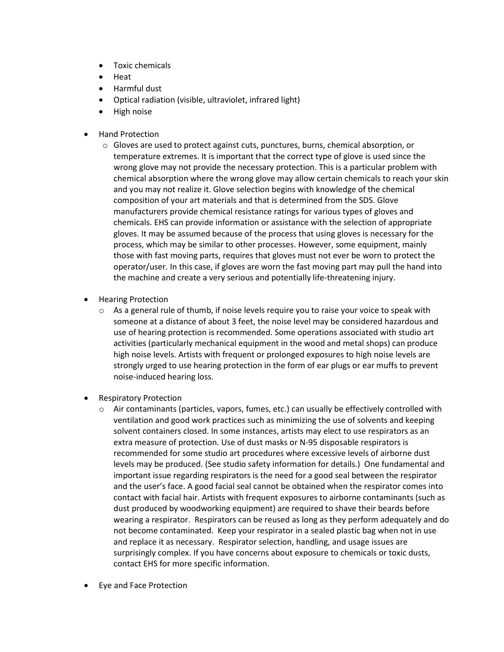- Toxic chemicals
- Heat
- Harmful dust
- Optical radiation (visible, ultraviolet, infrared light)
- High noise
- Hand Protection
	- o Gloves are used to protect against cuts, punctures, burns, chemical absorption, or temperature extremes. It is important that the correct type of glove is used since the wrong glove may not provide the necessary protection. This is a particular problem with chemical absorption where the wrong glove may allow certain chemicals to reach your skin and you may not realize it. Glove selection begins with knowledge of the chemical composition of your art materials and that is determined from the SDS. Glove manufacturers provide chemical resistance ratings for various types of gloves and chemicals. EHS can provide information or assistance with the selection of appropriate gloves. It may be assumed because of the process that using gloves is necessary for the process, which may be similar to other processes. However, some equipment, mainly those with fast moving parts, requires that gloves must not ever be worn to protect the operator/user. In this case, if gloves are worn the fast moving part may pull the hand into the machine and create a very serious and potentially life-threatening injury.
- Hearing Protection
	- $\circ$  As a general rule of thumb, if noise levels require you to raise your voice to speak with someone at a distance of about 3 feet, the noise level may be considered hazardous and use of hearing protection is recommended. Some operations associated with studio art activities (particularly mechanical equipment in the wood and metal shops) can produce high noise levels. Artists with frequent or prolonged exposures to high noise levels are strongly urged to use hearing protection in the form of ear plugs or ear muffs to prevent noise-induced hearing loss.
- **Respiratory Protection** 
	- $\circ$  Air contaminants (particles, vapors, fumes, etc.) can usually be effectively controlled with ventilation and good work practices such as minimizing the use of solvents and keeping solvent containers closed. In some instances, artists may elect to use respirators as an extra measure of protection. Use of dust masks or N-95 disposable respirators is recommended for some studio art procedures where excessive levels of airborne dust levels may be produced. (See studio safety information for details.) One fundamental and important issue regarding respirators is the need for a good seal between the respirator and the user's face. A good facial seal cannot be obtained when the respirator comes into contact with facial hair. Artists with frequent exposures to airborne contaminants (such as dust produced by woodworking equipment) are required to shave their beards before wearing a respirator. Respirators can be reused as long as they perform adequately and do not become contaminated. Keep your respirator in a sealed plastic bag when not in use and replace it as necessary. Respirator selection, handling, and usage issues are surprisingly complex. If you have concerns about exposure to chemicals or toxic dusts, contact EHS for more specific information.
- Eye and Face Protection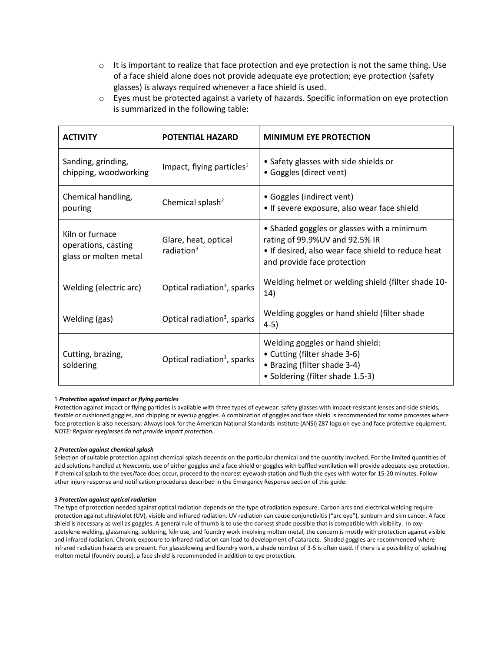- $\circ$  It is important to realize that face protection and eye protection is not the same thing. Use of a face shield alone does not provide adequate eye protection; eye protection (safety glasses) is always required whenever a face shield is used.
- $\circ$  Eyes must be protected against a variety of hazards. Specific information on eye protection is summarized in the following table:

| <b>ACTIVITY</b>                                                 | <b>POTENTIAL HAZARD</b>                        | <b>MINIMUM EYE PROTECTION</b>                                                                                                                                     |
|-----------------------------------------------------------------|------------------------------------------------|-------------------------------------------------------------------------------------------------------------------------------------------------------------------|
| Sanding, grinding,<br>chipping, woodworking                     | Impact, flying particles <sup>1</sup>          | • Safety glasses with side shields or<br>• Goggles (direct vent)                                                                                                  |
| Chemical handling,<br>pouring                                   | Chemical splash <sup>2</sup>                   | • Goggles (indirect vent)<br>• If severe exposure, also wear face shield                                                                                          |
| Kiln or furnace<br>operations, casting<br>glass or molten metal | Glare, heat, optical<br>radiation <sup>3</sup> | • Shaded goggles or glasses with a minimum<br>rating of 99.9%UV and 92.5% IR<br>. If desired, also wear face shield to reduce heat<br>and provide face protection |
| Welding (electric arc)                                          | Optical radiation <sup>3</sup> , sparks        | Welding helmet or welding shield (filter shade 10-<br>14)                                                                                                         |
| Welding (gas)                                                   | Optical radiation <sup>3</sup> , sparks        | Welding goggles or hand shield (filter shade<br>$4-5)$                                                                                                            |
| Cutting, brazing,<br>soldering                                  | Optical radiation <sup>3</sup> , sparks        | Welding goggles or hand shield:<br>• Cutting (filter shade 3-6)<br>• Brazing (filter shade 3-4)<br>• Soldering (filter shade 1.5-3)                               |

#### 1 *Protection against impact or flying particles*

Protection against impact or flying particles is available with three types of eyewear: safety glasses with impact-resistant lenses and side shields, flexible or cushioned goggles, and chipping or eyecup goggles. A combination of goggles and face shield is recommended for some processes where face protection is also necessary. Always look for the American National Standards Institute (ANSI) Z87 logo on eye and face protective equipment. *NOTE: Regular eyeglasses do not provide impact protection.*

#### **2** *Protection against chemical splash*

Selection of suitable protection against chemical splash depends on the particular chemical and the quantity involved. For the limited quantities of acid solutions handled at Newcomb, use of either goggles and a face shield or goggles with baffled ventilation will provide adequate eye protection. If chemical splash to the eyes/face does occur, proceed to the nearest eyewash station and flush the eyes with water for 15-20 minutes. Follow other injury response and notification procedures described in the Emergency Response section of this guide.

#### **3** *Protection against optical radiation*

The type of protection needed against optical radiation depends on the type of radiation exposure. Carbon arcs and electrical welding require protection against ultraviolet (UV), visible and infrared radiation. UV radiation can cause conjunctivitis ("arc eye"), sunburn and skin cancer. A face shield is necessary as well as goggles. A general rule of thumb is to use the darkest shade possible that is compatible with visibility. In oxyacetylene welding, glassmaking, soldering, kiln use, and foundry work involving molten metal, the concern is mostly with protection against visible and infrared radiation. Chronic exposure to infrared radiation can lead to development of cataracts. Shaded goggles are recommended where infrared radiation hazards are present. For glassblowing and foundry work, a shade number of 3-5 is often used. If there is a possibility of splashing molten metal (foundry pours), a face shield is recommended in addition to eye protection.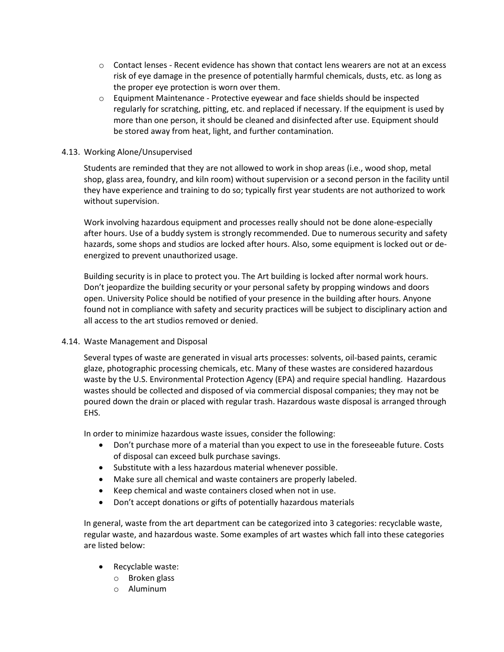- o Contact lenses Recent evidence has shown that contact lens wearers are not at an excess risk of eye damage in the presence of potentially harmful chemicals, dusts, etc. as long as the proper eye protection is worn over them.
- $\circ$  Equipment Maintenance Protective eyewear and face shields should be inspected regularly for scratching, pitting, etc. and replaced if necessary. If the equipment is used by more than one person, it should be cleaned and disinfected after use. Equipment should be stored away from heat, light, and further contamination.

# <span id="page-12-0"></span>4.13. Working Alone/Unsupervised

Students are reminded that they are not allowed to work in shop areas (i.e., wood shop, metal shop, glass area, foundry, and kiln room) without supervision or a second person in the facility until they have experience and training to do so; typically first year students are not authorized to work without supervision.

Work involving hazardous equipment and processes really should not be done alone-especially after hours. Use of a buddy system is strongly recommended. Due to numerous security and safety hazards, some shops and studios are locked after hours. Also, some equipment is locked out or deenergized to prevent unauthorized usage.

Building security is in place to protect you. The Art building is locked after normal work hours. Don't jeopardize the building security or your personal safety by propping windows and doors open. University Police should be notified of your presence in the building after hours. Anyone found not in compliance with safety and security practices will be subject to disciplinary action and all access to the art studios removed or denied.

#### <span id="page-12-1"></span>4.14. Waste Management and Disposal

Several types of waste are generated in visual arts processes: solvents, oil-based paints, ceramic glaze, photographic processing chemicals, etc. Many of these wastes are considered hazardous waste by the U.S. Environmental Protection Agency (EPA) and require special handling. Hazardous wastes should be collected and disposed of via commercial disposal companies; they may not be poured down the drain or placed with regular trash. Hazardous waste disposal is arranged through EHS.

In order to minimize hazardous waste issues, consider the following:

- Don't purchase more of a material than you expect to use in the foreseeable future. Costs of disposal can exceed bulk purchase savings.
- Substitute with a less hazardous material whenever possible.
- Make sure all chemical and waste containers are properly labeled.
- Keep chemical and waste containers closed when not in use.
- Don't accept donations or gifts of potentially hazardous materials

In general, waste from the art department can be categorized into 3 categories: recyclable waste, regular waste, and hazardous waste. Some examples of art wastes which fall into these categories are listed below:

- Recyclable waste:
	- o Broken glass
	- o Aluminum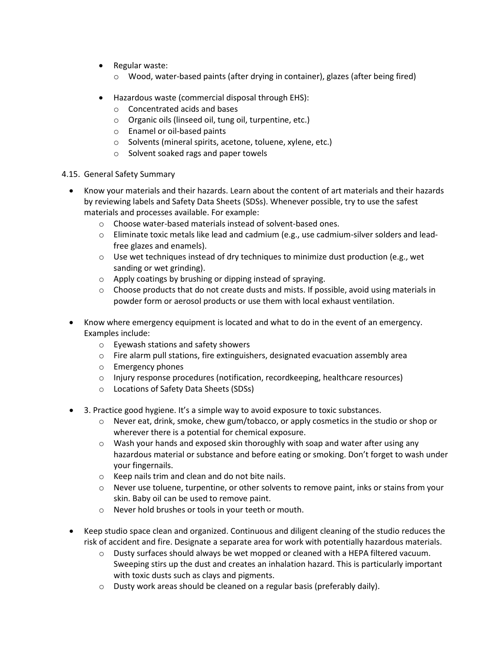- Regular waste:
	- o Wood, water-based paints (after drying in container), glazes (after being fired)
- Hazardous waste (commercial disposal through EHS):
	- o Concentrated acids and bases
	- o Organic oils (linseed oil, tung oil, turpentine, etc.)
	- o Enamel or oil-based paints
	- o Solvents (mineral spirits, acetone, toluene, xylene, etc.)
	- o Solvent soaked rags and paper towels
- <span id="page-13-0"></span>4.15. General Safety Summary
	- Know your materials and their hazards. Learn about the content of art materials and their hazards by reviewing labels and Safety Data Sheets (SDSs). Whenever possible, try to use the safest materials and processes available. For example:
		- o Choose water-based materials instead of solvent-based ones.
		- $\circ$  Eliminate toxic metals like lead and cadmium (e.g., use cadmium-silver solders and leadfree glazes and enamels).
		- $\circ$  Use wet techniques instead of dry techniques to minimize dust production (e.g., wet sanding or wet grinding).
		- o Apply coatings by brushing or dipping instead of spraying.
		- $\circ$  Choose products that do not create dusts and mists. If possible, avoid using materials in powder form or aerosol products or use them with local exhaust ventilation.
	- Know where emergency equipment is located and what to do in the event of an emergency. Examples include:
		- o Eyewash stations and safety showers
		- $\circ$  Fire alarm pull stations, fire extinguishers, designated evacuation assembly area
		- o Emergency phones
		- o Injury response procedures (notification, recordkeeping, healthcare resources)
		- o Locations of Safety Data Sheets (SDSs)
	- 3. Practice good hygiene. It's a simple way to avoid exposure to toxic substances.
		- o Never eat, drink, smoke, chew gum/tobacco, or apply cosmetics in the studio or shop or wherever there is a potential for chemical exposure.
		- $\circ$  Wash your hands and exposed skin thoroughly with soap and water after using any hazardous material or substance and before eating or smoking. Don't forget to wash under your fingernails.
		- o Keep nails trim and clean and do not bite nails.
		- $\circ$  Never use toluene, turpentine, or other solvents to remove paint, inks or stains from your skin. Baby oil can be used to remove paint.
		- o Never hold brushes or tools in your teeth or mouth.
	- Keep studio space clean and organized. Continuous and diligent cleaning of the studio reduces the risk of accident and fire. Designate a separate area for work with potentially hazardous materials.
		- $\circ$  Dusty surfaces should always be wet mopped or cleaned with a HEPA filtered vacuum. Sweeping stirs up the dust and creates an inhalation hazard. This is particularly important with toxic dusts such as clays and pigments.
		- $\circ$  Dusty work areas should be cleaned on a regular basis (preferably daily).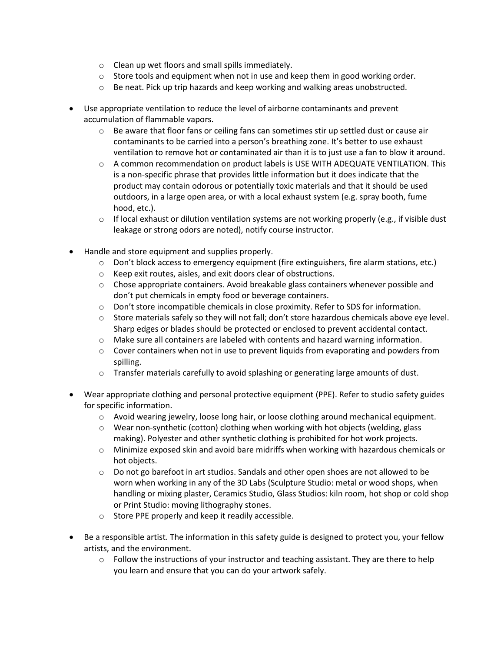- o Clean up wet floors and small spills immediately.
- $\circ$  Store tools and equipment when not in use and keep them in good working order.
- $\circ$  Be neat. Pick up trip hazards and keep working and walking areas unobstructed.
- Use appropriate ventilation to reduce the level of airborne contaminants and prevent accumulation of flammable vapors.
	- $\circ$  Be aware that floor fans or ceiling fans can sometimes stir up settled dust or cause air contaminants to be carried into a person's breathing zone. It's better to use exhaust ventilation to remove hot or contaminated air than it is to just use a fan to blow it around.
	- $\circ$  A common recommendation on product labels is USE WITH ADEQUATE VENTILATION. This is a non-specific phrase that provides little information but it does indicate that the product may contain odorous or potentially toxic materials and that it should be used outdoors, in a large open area, or with a local exhaust system (e.g. spray booth, fume hood, etc.).
	- $\circ$  If local exhaust or dilution ventilation systems are not working properly (e.g., if visible dust leakage or strong odors are noted), notify course instructor.
- Handle and store equipment and supplies properly.
	- o Don't block access to emergency equipment (fire extinguishers, fire alarm stations, etc.)
	- o Keep exit routes, aisles, and exit doors clear of obstructions.
	- o Chose appropriate containers. Avoid breakable glass containers whenever possible and don't put chemicals in empty food or beverage containers.
	- $\circ$  Don't store incompatible chemicals in close proximity. Refer to SDS for information.
	- $\circ$  Store materials safely so they will not fall; don't store hazardous chemicals above eve level. Sharp edges or blades should be protected or enclosed to prevent accidental contact.
	- o Make sure all containers are labeled with contents and hazard warning information.
	- $\circ$  Cover containers when not in use to prevent liquids from evaporating and powders from spilling.
	- $\circ$  Transfer materials carefully to avoid splashing or generating large amounts of dust.
- Wear appropriate clothing and personal protective equipment (PPE). Refer to studio safety guides for specific information.
	- $\circ$  Avoid wearing jewelry, loose long hair, or loose clothing around mechanical equipment.
	- $\circ$  Wear non-synthetic (cotton) clothing when working with hot objects (welding, glass making). Polyester and other synthetic clothing is prohibited for hot work projects.
	- $\circ$  Minimize exposed skin and avoid bare midriffs when working with hazardous chemicals or hot objects.
	- $\circ$  Do not go barefoot in art studios. Sandals and other open shoes are not allowed to be worn when working in any of the 3D Labs (Sculpture Studio: metal or wood shops, when handling or mixing plaster, Ceramics Studio, Glass Studios: kiln room, hot shop or cold shop or Print Studio: moving lithography stones.
	- o Store PPE properly and keep it readily accessible.
- Be a responsible artist. The information in this safety guide is designed to protect you, your fellow artists, and the environment.
	- $\circ$  Follow the instructions of your instructor and teaching assistant. They are there to help you learn and ensure that you can do your artwork safely.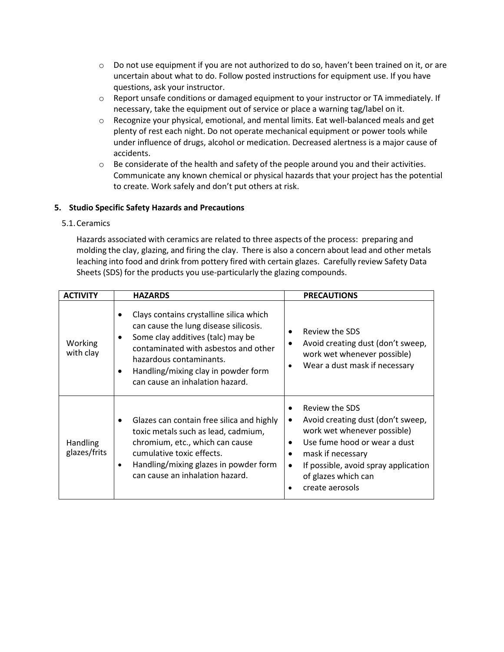- o Do not use equipment if you are not authorized to do so, haven't been trained on it, or are uncertain about what to do. Follow posted instructions for equipment use. If you have questions, ask your instructor.
- o Report unsafe conditions or damaged equipment to your instructor or TA immediately. If necessary, take the equipment out of service or place a warning tag/label on it.
- $\circ$  Recognize your physical, emotional, and mental limits. Eat well-balanced meals and get plenty of rest each night. Do not operate mechanical equipment or power tools while under influence of drugs, alcohol or medication. Decreased alertness is a major cause of accidents.
- o Be considerate of the health and safety of the people around you and their activities. Communicate any known chemical or physical hazards that your project has the potential to create. Work safely and don't put others at risk.

# <span id="page-15-0"></span>**5. Studio Specific Safety Hazards and Precautions**

# <span id="page-15-1"></span>5.1.Ceramics

Hazards associated with ceramics are related to three aspects of the process: preparing and molding the clay, glazing, and firing the clay. There is also a concern about lead and other metals leaching into food and drink from pottery fired with certain glazes. Carefully review Safety Data Sheets (SDS) for the products you use-particularly the glazing compounds.

| <b>ACTIVITY</b>                 | <b>HAZARDS</b>                                                                                                                                                                                                                                                     | <b>PRECAUTIONS</b>                                                                                                                                                                                                                               |
|---------------------------------|--------------------------------------------------------------------------------------------------------------------------------------------------------------------------------------------------------------------------------------------------------------------|--------------------------------------------------------------------------------------------------------------------------------------------------------------------------------------------------------------------------------------------------|
| Working<br>with clay            | Clays contains crystalline silica which<br>can cause the lung disease silicosis.<br>Some clay additives (talc) may be<br>contaminated with asbestos and other<br>hazardous contaminants.<br>Handling/mixing clay in powder form<br>can cause an inhalation hazard. | Review the SDS<br>Avoid creating dust (don't sweep,<br>work wet whenever possible)<br>Wear a dust mask if necessary                                                                                                                              |
| <b>Handling</b><br>glazes/frits | Glazes can contain free silica and highly<br>toxic metals such as lead, cadmium,<br>chromium, etc., which can cause<br>cumulative toxic effects.<br>Handling/mixing glazes in powder form<br>can cause an inhalation hazard.                                       | Review the SDS<br>Avoid creating dust (don't sweep,<br>٠<br>work wet whenever possible)<br>Use fume hood or wear a dust<br>mask if necessary<br>٠<br>If possible, avoid spray application<br>$\bullet$<br>of glazes which can<br>create aerosols |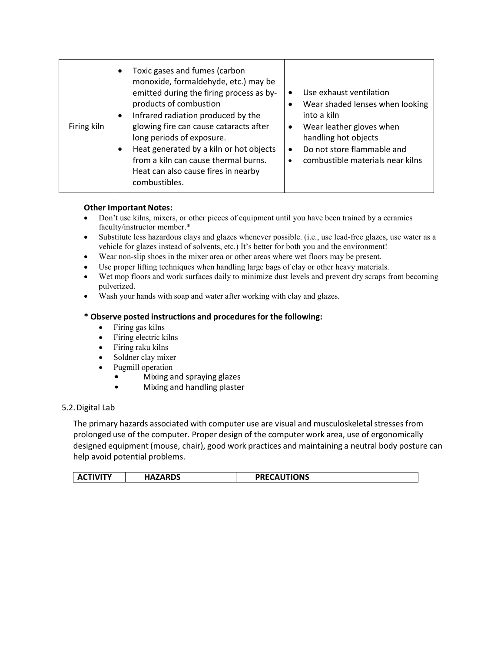| Firing kiln | Toxic gases and fumes (carbon<br>monoxide, formaldehyde, etc.) may be<br>emitted during the firing process as by-<br>products of combustion<br>Infrared radiation produced by the<br>glowing fire can cause cataracts after<br>long periods of exposure.<br>Heat generated by a kiln or hot objects<br>from a kiln can cause thermal burns.<br>Heat can also cause fires in nearby<br>combustibles. | Use exhaust ventilation<br>Wear shaded lenses when looking<br>into a kiln<br>Wear leather gloves when<br>$\bullet$<br>handling hot objects<br>Do not store flammable and<br>$\bullet$<br>combustible materials near kilns<br>$\bullet$ |
|-------------|-----------------------------------------------------------------------------------------------------------------------------------------------------------------------------------------------------------------------------------------------------------------------------------------------------------------------------------------------------------------------------------------------------|----------------------------------------------------------------------------------------------------------------------------------------------------------------------------------------------------------------------------------------|
|-------------|-----------------------------------------------------------------------------------------------------------------------------------------------------------------------------------------------------------------------------------------------------------------------------------------------------------------------------------------------------------------------------------------------------|----------------------------------------------------------------------------------------------------------------------------------------------------------------------------------------------------------------------------------------|

- Don't use kilns, mixers, or other pieces of equipment until you have been trained by a ceramics faculty/instructor member.\*
- Substitute less hazardous clays and glazes whenever possible. (i.e., use lead-free glazes, use water as a vehicle for glazes instead of solvents, etc.) It's better for both you and the environment!
- Wear non-slip shoes in the mixer area or other areas where wet floors may be present.
- Use proper lifting techniques when handling large bags of clay or other heavy materials.
- Wet mop floors and work surfaces daily to minimize dust levels and prevent dry scraps from becoming pulverized.
- Wash your hands with soap and water after working with clay and glazes.

## **\* Observe posted instructions and proceduresfor the following:**

- Firing gas kilns
- Firing electric kilns
- Firing raku kilns
- Soldner clay mixer
- Pugmill operation
	- Mixing and spraying glazes
	- Mixing and handling plaster

#### <span id="page-16-0"></span>5.2.Digital Lab

The primary hazards associated with computer use are visual and musculoskeletal stresses from prolonged use of the computer. Proper design of the computer work area, use of ergonomically designed equipment (mouse, chair), good work practices and maintaining a neutral body posture can help avoid potential problems.

| <b>PRECAUTIONS</b><br>HAZARDS<br><b>ACTIVITY</b><br>AC.<br>HAZ, |
|-----------------------------------------------------------------|
|-----------------------------------------------------------------|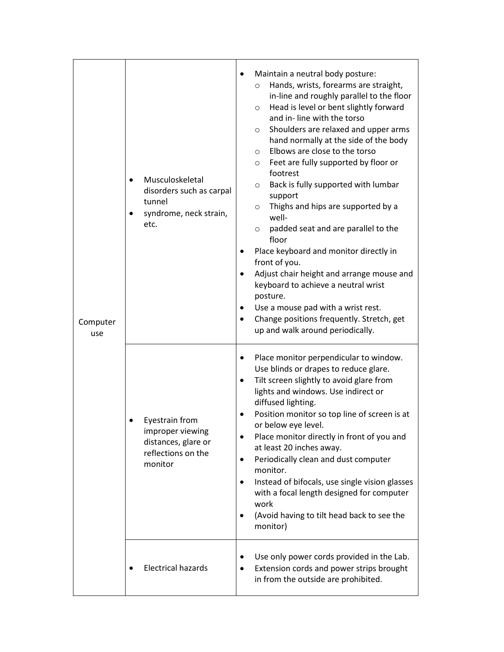| Computer<br>use | Musculoskeletal<br>$\bullet$<br>disorders such as carpal<br>tunnel<br>syndrome, neck strain,<br>etc. | Maintain a neutral body posture:<br>Hands, wrists, forearms are straight,<br>$\circ$<br>in-line and roughly parallel to the floor<br>Head is level or bent slightly forward<br>$\circ$<br>and in-line with the torso<br>Shoulders are relaxed and upper arms<br>O<br>hand normally at the side of the body<br>Elbows are close to the torso<br>$\circ$<br>Feet are fully supported by floor or<br>O<br>footrest<br>Back is fully supported with lumbar<br>O<br>support<br>Thighs and hips are supported by a<br>$\circ$<br>well-<br>padded seat and are parallel to the<br>$\circ$<br>floor<br>Place keyboard and monitor directly in<br>٠<br>front of you.<br>Adjust chair height and arrange mouse and<br>$\bullet$<br>keyboard to achieve a neutral wrist<br>posture.<br>Use a mouse pad with a wrist rest.<br>Change positions frequently. Stretch, get<br>٠<br>up and walk around periodically. |
|-----------------|------------------------------------------------------------------------------------------------------|------------------------------------------------------------------------------------------------------------------------------------------------------------------------------------------------------------------------------------------------------------------------------------------------------------------------------------------------------------------------------------------------------------------------------------------------------------------------------------------------------------------------------------------------------------------------------------------------------------------------------------------------------------------------------------------------------------------------------------------------------------------------------------------------------------------------------------------------------------------------------------------------------|
|                 | Eyestrain from<br>improper viewing<br>distances, glare or<br>reflections on the<br>monitor           | Place monitor perpendicular to window.<br>٠<br>Use blinds or drapes to reduce glare.<br>Tilt screen slightly to avoid glare from<br>٠<br>lights and windows. Use indirect or<br>diffused lighting.<br>Position monitor so top line of screen is at<br>or below eye level.<br>Place monitor directly in front of you and<br>$\bullet$<br>at least 20 inches away.<br>Periodically clean and dust computer<br>٠<br>monitor.<br>Instead of bifocals, use single vision glasses<br>$\bullet$<br>with a focal length designed for computer<br>work<br>(Avoid having to tilt head back to see the<br>٠<br>monitor)                                                                                                                                                                                                                                                                                         |
|                 | <b>Electrical hazards</b>                                                                            | Use only power cords provided in the Lab.<br>$\bullet$<br>Extension cords and power strips brought<br>٠<br>in from the outside are prohibited.                                                                                                                                                                                                                                                                                                                                                                                                                                                                                                                                                                                                                                                                                                                                                       |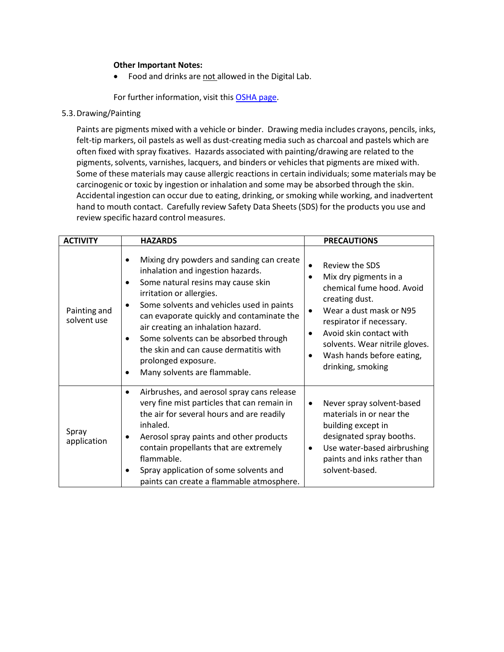Food and drinks are not allowed in the Digital Lab.

For further information, visit this [OSHA page.](http://www.osha.gov/SLTC/etools/computerworkstations/index.html)

<span id="page-18-0"></span>5.3.Drawing/Painting

Paints are pigments mixed with a vehicle or binder. Drawing media includes crayons, pencils, inks, felt-tip markers, oil pastels as well as dust-creating media such as charcoal and pastels which are often fixed with spray fixatives. Hazards associated with painting/drawing are related to the pigments, solvents, varnishes, lacquers, and binders or vehicles that pigments are mixed with. Some of these materials may cause allergic reactions in certain individuals; some materials may be carcinogenic or toxic by ingestion or inhalation and some may be absorbed through the skin. Accidental ingestion can occur due to eating, drinking, or smoking while working, and inadvertent hand to mouth contact. Carefully review Safety Data Sheets (SDS) for the products you use and review specific hazard control measures.

| <b>ACTIVITY</b>             | <b>HAZARDS</b>                                                                                                                                                                                                                                                                                                                                                                                                                                       | <b>PRECAUTIONS</b>                                                                                                                                                                                                                                                                                               |
|-----------------------------|------------------------------------------------------------------------------------------------------------------------------------------------------------------------------------------------------------------------------------------------------------------------------------------------------------------------------------------------------------------------------------------------------------------------------------------------------|------------------------------------------------------------------------------------------------------------------------------------------------------------------------------------------------------------------------------------------------------------------------------------------------------------------|
| Painting and<br>solvent use | Mixing dry powders and sanding can create<br>inhalation and ingestion hazards.<br>Some natural resins may cause skin<br>$\bullet$<br>irritation or allergies.<br>Some solvents and vehicles used in paints<br>$\bullet$<br>can evaporate quickly and contaminate the<br>air creating an inhalation hazard.<br>Some solvents can be absorbed through<br>the skin and can cause dermatitis with<br>prolonged exposure.<br>Many solvents are flammable. | Review the SDS<br>$\bullet$<br>Mix dry pigments in a<br>$\bullet$<br>chemical fume hood. Avoid<br>creating dust.<br>Wear a dust mask or N95<br>$\bullet$<br>respirator if necessary.<br>Avoid skin contact with<br>$\bullet$<br>solvents. Wear nitrile gloves.<br>Wash hands before eating,<br>drinking, smoking |
| Spray<br>application        | Airbrushes, and aerosol spray cans release<br>٠<br>very fine mist particles that can remain in<br>the air for several hours and are readily<br>inhaled.<br>Aerosol spray paints and other products<br>contain propellants that are extremely<br>flammable.<br>Spray application of some solvents and<br>paints can create a flammable atmosphere.                                                                                                    | Never spray solvent-based<br>$\bullet$<br>materials in or near the<br>building except in<br>designated spray booths.<br>Use water-based airbrushing<br>$\bullet$<br>paints and inks rather than<br>solvent-based.                                                                                                |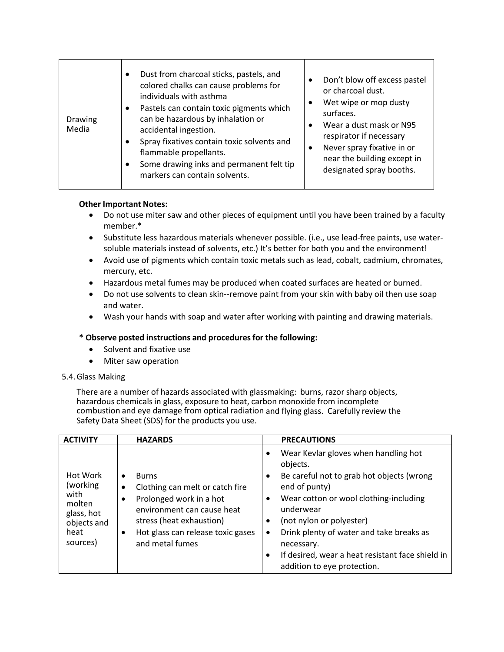| Drawing<br>Media | Dust from charcoal sticks, pastels, and<br>$\bullet$<br>colored chalks can cause problems for<br>individuals with asthma<br>Pastels can contain toxic pigments which<br>$\bullet$<br>can be hazardous by inhalation or<br>accidental ingestion.<br>Spray fixatives contain toxic solvents and<br>٠<br>flammable propellants.<br>Some drawing inks and permanent felt tip<br>٠<br>markers can contain solvents. | Don't blow off excess pastel<br>or charcoal dust.<br>Wet wipe or mop dusty<br>$\bullet$<br>surfaces.<br>Wear a dust mask or N95<br>$\bullet$<br>respirator if necessary<br>Never spray fixative in or<br>$\bullet$<br>near the building except in<br>designated spray booths. |
|------------------|----------------------------------------------------------------------------------------------------------------------------------------------------------------------------------------------------------------------------------------------------------------------------------------------------------------------------------------------------------------------------------------------------------------|-------------------------------------------------------------------------------------------------------------------------------------------------------------------------------------------------------------------------------------------------------------------------------|
|------------------|----------------------------------------------------------------------------------------------------------------------------------------------------------------------------------------------------------------------------------------------------------------------------------------------------------------------------------------------------------------------------------------------------------------|-------------------------------------------------------------------------------------------------------------------------------------------------------------------------------------------------------------------------------------------------------------------------------|

- Do not use miter saw and other pieces of equipment until you have been trained by a faculty member.\*
- Substitute less hazardous materials whenever possible. (i.e., use lead-free paints, use watersoluble materials instead of solvents, etc.) It's better for both you and the environment!
- Avoid use of pigments which contain toxic metals such as lead, cobalt, cadmium, chromates, mercury, etc.
- Hazardous metal fumes may be produced when coated surfaces are heated or burned.
- Do not use solvents to clean skin--remove paint from your skin with baby oil then use soap and water.
- Wash your hands with soap and water after working with painting and drawing materials.

# **\* Observe posted instructions and proceduresfor the following:**

- Solvent and fixative use
- Miter saw operation

# <span id="page-19-0"></span>5.4.Glass Making

There are a number of hazards associated with glassmaking: burns, razor sharp objects, hazardous chemicals in glass, exposure to heat, carbon monoxide from incomplete combustion and eye damage from optical radiation and flying glass. Carefully review the Safety Data Sheet (SDS) for the products you use.

| <b>ACTIVITY</b>                                                                          | <b>HAZARDS</b>                                                                                                                                                                                                                                   | <b>PRECAUTIONS</b>                                                                                                                                                                                                                                                                                                                                                                    |
|------------------------------------------------------------------------------------------|--------------------------------------------------------------------------------------------------------------------------------------------------------------------------------------------------------------------------------------------------|---------------------------------------------------------------------------------------------------------------------------------------------------------------------------------------------------------------------------------------------------------------------------------------------------------------------------------------------------------------------------------------|
| Hot Work<br>(working)<br>with<br>molten<br>glass, hot<br>objects and<br>heat<br>sources) | <b>Burns</b><br>$\bullet$<br>Clothing can melt or catch fire<br>$\bullet$<br>Prolonged work in a hot<br>$\bullet$<br>environment can cause heat<br>stress (heat exhaustion)<br>Hot glass can release toxic gases<br>$\bullet$<br>and metal fumes | Wear Kevlar gloves when handling hot<br>objects.<br>Be careful not to grab hot objects (wrong<br>$\bullet$<br>end of punty)<br>Wear cotton or wool clothing-including<br>underwear<br>(not nylon or polyester)<br>Drink plenty of water and take breaks as<br>$\bullet$<br>necessary.<br>If desired, wear a heat resistant face shield in<br>$\bullet$<br>addition to eye protection. |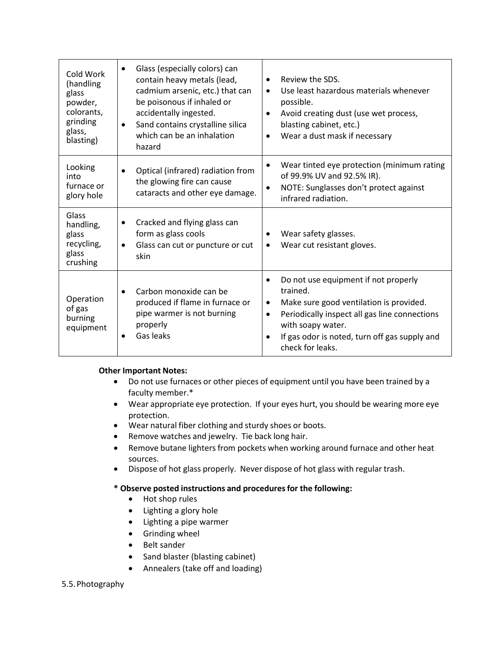| Cold Work<br>(handling<br>glass<br>powder,<br>colorants,<br>grinding<br>glass,<br>blasting) | Glass (especially colors) can<br>$\bullet$<br>contain heavy metals (lead,<br>cadmium arsenic, etc.) that can<br>be poisonous if inhaled or<br>accidentally ingested.<br>Sand contains crystalline silica<br>$\bullet$<br>which can be an inhalation<br>hazard | Review the SDS.<br>$\bullet$<br>Use least hazardous materials whenever<br>$\bullet$<br>possible.<br>Avoid creating dust (use wet process,<br>$\bullet$<br>blasting cabinet, etc.)<br>Wear a dust mask if necessary<br>$\bullet$                                               |
|---------------------------------------------------------------------------------------------|---------------------------------------------------------------------------------------------------------------------------------------------------------------------------------------------------------------------------------------------------------------|-------------------------------------------------------------------------------------------------------------------------------------------------------------------------------------------------------------------------------------------------------------------------------|
| Looking<br>into<br>furnace or<br>glory hole                                                 | Optical (infrared) radiation from<br>$\bullet$<br>the glowing fire can cause<br>cataracts and other eye damage.                                                                                                                                               | Wear tinted eye protection (minimum rating<br>$\bullet$<br>of 99.9% UV and 92.5% IR).<br>NOTE: Sunglasses don't protect against<br>$\bullet$<br>infrared radiation.                                                                                                           |
| Glass<br>handling,<br>glass<br>recycling,<br>glass<br>crushing                              | Cracked and flying glass can<br>٠<br>form as glass cools<br>Glass can cut or puncture or cut<br>$\bullet$<br>skin                                                                                                                                             | Wear safety glasses.<br>$\bullet$<br>Wear cut resistant gloves.                                                                                                                                                                                                               |
| Operation<br>of gas<br>burning<br>equipment                                                 | Carbon monoxide can be<br>$\bullet$<br>produced if flame in furnace or<br>pipe warmer is not burning<br>properly<br>Gas leaks                                                                                                                                 | Do not use equipment if not properly<br>trained.<br>Make sure good ventilation is provided.<br>$\bullet$<br>Periodically inspect all gas line connections<br>$\bullet$<br>with soapy water.<br>If gas odor is noted, turn off gas supply and<br>$\bullet$<br>check for leaks. |

- Do not use furnaces or other pieces of equipment until you have been trained by a faculty member.\*
- Wear appropriate eye protection. If your eyes hurt, you should be wearing more eye protection.
- Wear natural fiber clothing and sturdy shoes or boots.
- Remove watches and jewelry. Tie back long hair.
- Remove butane lighters from pockets when working around furnace and other heat sources.
- Dispose of hot glass properly. Never dispose of hot glass with regular trash.

# **\* Observe posted instructions and proceduresfor the following:**

- Hot shop rules
- Lighting a glory hole
- Lighting a pipe warmer
- Grinding wheel
- Belt sander
- Sand blaster (blasting cabinet)
- Annealers (take off and loading)

# <span id="page-20-0"></span>5.5.Photography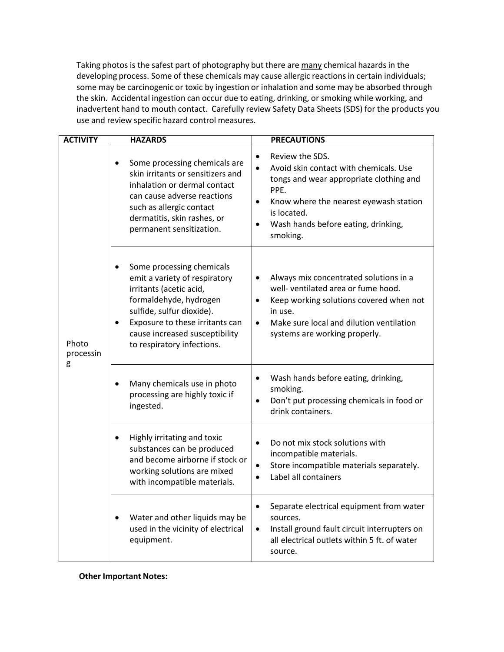Taking photos is the safest part of photography but there are many chemical hazards in the developing process. Some of these chemicals may cause allergic reactions in certain individuals; some may be carcinogenic or toxic by ingestion or inhalation and some may be absorbed through the skin. Accidental ingestion can occur due to eating, drinking, or smoking while working, and inadvertent hand to mouth contact. Carefully review Safety Data Sheets (SDS) for the products you use and review specific hazard control measures.

| <b>ACTIVITY</b>         | <b>HAZARDS</b>                                                                                                                                                                                                                                                            | <b>PRECAUTIONS</b>                                                                                                                                                                                                                                              |
|-------------------------|---------------------------------------------------------------------------------------------------------------------------------------------------------------------------------------------------------------------------------------------------------------------------|-----------------------------------------------------------------------------------------------------------------------------------------------------------------------------------------------------------------------------------------------------------------|
|                         | Some processing chemicals are<br>$\bullet$<br>skin irritants or sensitizers and<br>inhalation or dermal contact<br>can cause adverse reactions<br>such as allergic contact<br>dermatitis, skin rashes, or<br>permanent sensitization.                                     | Review the SDS.<br>$\bullet$<br>Avoid skin contact with chemicals. Use<br>$\bullet$<br>tongs and wear appropriate clothing and<br>PPE.<br>Know where the nearest eyewash station<br>$\bullet$<br>is located.<br>Wash hands before eating, drinking,<br>smoking. |
| Photo<br>processin<br>g | Some processing chemicals<br>$\bullet$<br>emit a variety of respiratory<br>irritants (acetic acid,<br>formaldehyde, hydrogen<br>sulfide, sulfur dioxide).<br>Exposure to these irritants can<br>$\bullet$<br>cause increased susceptibility<br>to respiratory infections. | Always mix concentrated solutions in a<br>$\bullet$<br>well- ventilated area or fume hood.<br>Keep working solutions covered when not<br>$\bullet$<br>in use.<br>Make sure local and dilution ventilation<br>$\bullet$<br>systems are working properly.         |
|                         | Many chemicals use in photo<br>processing are highly toxic if<br>ingested.                                                                                                                                                                                                | Wash hands before eating, drinking,<br>$\bullet$<br>smoking.<br>Don't put processing chemicals in food or<br>$\bullet$<br>drink containers.                                                                                                                     |
|                         | Highly irritating and toxic<br>$\bullet$<br>substances can be produced<br>and become airborne if stock or<br>working solutions are mixed<br>with incompatible materials.                                                                                                  | Do not mix stock solutions with<br>$\bullet$<br>incompatible materials.<br>Store incompatible materials separately.<br>$\bullet$<br>Label all containers                                                                                                        |
|                         | Water and other liquids may be<br>$\bullet$<br>used in the vicinity of electrical<br>equipment.                                                                                                                                                                           | Separate electrical equipment from water<br>$\bullet$<br>sources.<br>Install ground fault circuit interrupters on<br>$\bullet$<br>all electrical outlets within 5 ft. of water<br>source.                                                                       |

**Other Important Notes:**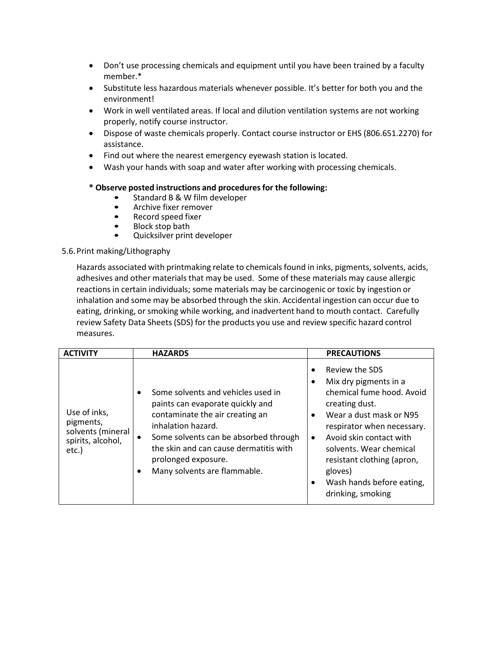- Don't use processing chemicals and equipment until you have been trained by a faculty member.\*
- Substitute less hazardous materials whenever possible. It's better for both you and the environment!
- Work in well ventilated areas. If local and dilution ventilation systems are not working properly, notify course instructor.
- Dispose of waste chemicals properly. Contact course instructor or EHS (806.651.2270) for assistance.
- Find out where the nearest emergency eyewash station is located.
- Wash your hands with soap and water after working with processing chemicals.

# **\* Observe posted instructions and proceduresfor the following:**

- Standard B & W film developer<br>• Archive fixer remover
- Archive fixer remover
- Record speed fixer<br>• Block stop bath
- Block stop bath<br>• Quicksilver print
- Quicksilver print developer

# <span id="page-22-0"></span>5.6.Print making/Lithography

Hazards associated with printmaking relate to chemicals found in inks, pigments, solvents, acids, adhesives and other materials that may be used. Some of these materials may cause allergic reactions in certain individuals; some materials may be carcinogenic or toxic by ingestion or inhalation and some may be absorbed through the skin. Accidental ingestion can occur due to eating, drinking, or smoking while working, and inadvertent hand to mouth contact. Carefully review Safety Data Sheets (SDS) for the products you use and review specific hazard control measures.

| <b>ACTIVITY</b>                                                              | <b>HAZARDS</b>                                                                                                                                                                                                                                                            | <b>PRECAUTIONS</b>                                                                                                                                                                                                                                                                                                                      |
|------------------------------------------------------------------------------|---------------------------------------------------------------------------------------------------------------------------------------------------------------------------------------------------------------------------------------------------------------------------|-----------------------------------------------------------------------------------------------------------------------------------------------------------------------------------------------------------------------------------------------------------------------------------------------------------------------------------------|
| Use of inks,<br>pigments,<br>solvents (mineral<br>spirits, alcohol,<br>etc.) | Some solvents and vehicles used in<br>paints can evaporate quickly and<br>contaminate the air creating an<br>inhalation hazard.<br>Some solvents can be absorbed through<br>the skin and can cause dermatitis with<br>prolonged exposure.<br>Many solvents are flammable. | Review the SDS<br>$\bullet$<br>Mix dry pigments in a<br>chemical fume hood. Avoid<br>creating dust.<br>Wear a dust mask or N95<br>respirator when necessary.<br>Avoid skin contact with<br>$\bullet$<br>solvents. Wear chemical<br>resistant clothing (apron,<br>gloves)<br>Wash hands before eating,<br>$\bullet$<br>drinking, smoking |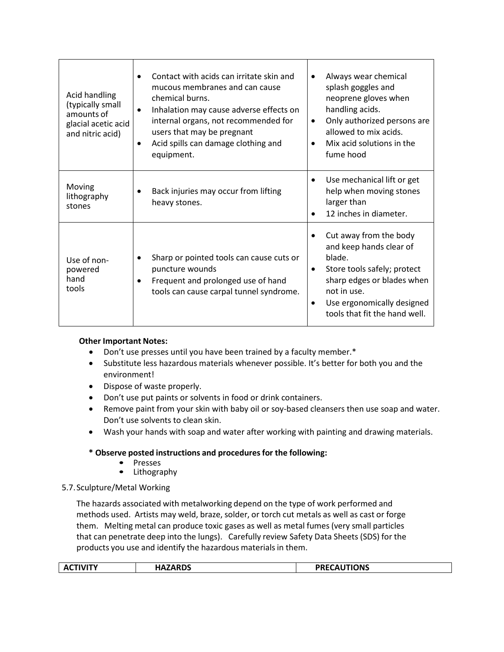| Acid handling<br>(typically small<br>amounts of<br>glacial acetic acid<br>and nitric acid) | Contact with acids can irritate skin and<br>mucous membranes and can cause<br>chemical burns.<br>Inhalation may cause adverse effects on<br>$\bullet$<br>internal organs, not recommended for<br>users that may be pregnant<br>Acid spills can damage clothing and<br>٠<br>equipment. | Always wear chemical<br>splash goggles and<br>neoprene gloves when<br>handling acids.<br>Only authorized persons are<br>٠<br>allowed to mix acids.<br>Mix acid solutions in the<br>fume hood                             |
|--------------------------------------------------------------------------------------------|---------------------------------------------------------------------------------------------------------------------------------------------------------------------------------------------------------------------------------------------------------------------------------------|--------------------------------------------------------------------------------------------------------------------------------------------------------------------------------------------------------------------------|
| Moving<br>lithography<br>stones                                                            | Back injuries may occur from lifting<br>heavy stones.                                                                                                                                                                                                                                 | Use mechanical lift or get<br>$\bullet$<br>help when moving stones<br>larger than<br>12 inches in diameter.                                                                                                              |
| Use of non-<br>powered<br>hand<br>tools                                                    | Sharp or pointed tools can cause cuts or<br>puncture wounds<br>Frequent and prolonged use of hand<br>$\bullet$<br>tools can cause carpal tunnel syndrome.                                                                                                                             | Cut away from the body<br>and keep hands clear of<br>blade.<br>Store tools safely; protect<br>$\bullet$<br>sharp edges or blades when<br>not in use.<br>Use ergonomically designed<br>٠<br>tools that fit the hand well. |

- Don't use presses until you have been trained by a faculty member.\*
- Substitute less hazardous materials whenever possible. It's better for both you and the environment!
- Dispose of waste properly.
- Don't use put paints or solvents in food or drink containers.
- Remove paint from your skin with baby oil or soy-based cleansers then use soap and water. Don't use solvents to clean skin.
- Wash your hands with soap and water after working with painting and drawing materials.

# **\* Observe posted instructions and proceduresfor the following:**

- Presses
- Lithography

# <span id="page-23-0"></span>5.7.Sculpture/Metal Working

The hazards associated with metalworking depend on the type of work performed and methods used. Artists may weld, braze, solder, or torch cut metals as well as cast or forge them. Melting metal can produce toxic gases as well as metal fumes (very small particles that can penetrate deep into the lungs). Carefully review Safety Data Sheets (SDS) for the products you use and identify the hazardous materials in them.

|  | <b>ACTIVITY</b> | <b>HAZARDS</b> | <b>PRECAUTIONS</b> |
|--|-----------------|----------------|--------------------|
|--|-----------------|----------------|--------------------|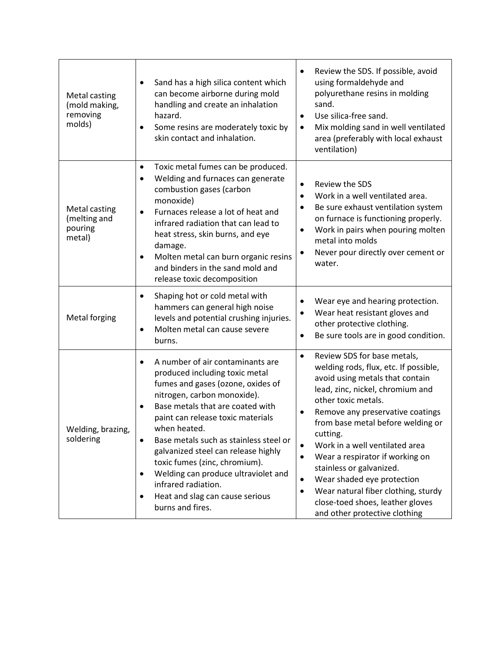| Metal casting<br>(mold making,<br>removing<br>molds)      | Sand has a high silica content which<br>can become airborne during mold<br>handling and create an inhalation<br>hazard.<br>Some resins are moderately toxic by<br>skin contact and inhalation.                                                                                                                                                                                                                                                                                                        | Review the SDS. If possible, avoid<br>٠<br>using formaldehyde and<br>polyurethane resins in molding<br>sand.<br>Use silica-free sand.<br>$\bullet$<br>Mix molding sand in well ventilated<br>$\bullet$<br>area (preferably with local exhaust<br>ventilation)                                                                                                                                                                                                                                                                                                                    |
|-----------------------------------------------------------|-------------------------------------------------------------------------------------------------------------------------------------------------------------------------------------------------------------------------------------------------------------------------------------------------------------------------------------------------------------------------------------------------------------------------------------------------------------------------------------------------------|----------------------------------------------------------------------------------------------------------------------------------------------------------------------------------------------------------------------------------------------------------------------------------------------------------------------------------------------------------------------------------------------------------------------------------------------------------------------------------------------------------------------------------------------------------------------------------|
| <b>Metal casting</b><br>(melting and<br>pouring<br>metal) | Toxic metal fumes can be produced.<br>٠<br>Welding and furnaces can generate<br>combustion gases (carbon<br>monoxide)<br>Furnaces release a lot of heat and<br>infrared radiation that can lead to<br>heat stress, skin burns, and eye<br>damage.<br>Molten metal can burn organic resins<br>and binders in the sand mold and<br>release toxic decomposition                                                                                                                                          | Review the SDS<br>$\bullet$<br>Work in a well ventilated area.<br>$\bullet$<br>Be sure exhaust ventilation system<br>on furnace is functioning properly.<br>Work in pairs when pouring molten<br>$\bullet$<br>metal into molds<br>Never pour directly over cement or<br>٠<br>water.                                                                                                                                                                                                                                                                                              |
| Metal forging                                             | Shaping hot or cold metal with<br>٠<br>hammers can general high noise<br>levels and potential crushing injuries.<br>Molten metal can cause severe<br>burns.                                                                                                                                                                                                                                                                                                                                           | Wear eye and hearing protection.<br>Wear heat resistant gloves and<br>$\bullet$<br>other protective clothing.<br>Be sure tools are in good condition.                                                                                                                                                                                                                                                                                                                                                                                                                            |
| Welding, brazing,<br>soldering                            | A number of air contaminants are<br>produced including toxic metal<br>fumes and gases (ozone, oxides of<br>nitrogen, carbon monoxide).<br>Base metals that are coated with<br>paint can release toxic materials<br>when heated.<br>Base metals such as stainless steel or<br>$\bullet$<br>galvanized steel can release highly<br>toxic fumes (zinc, chromium).<br>Welding can produce ultraviolet and<br>٠<br>infrared radiation.<br>Heat and slag can cause serious<br>$\bullet$<br>burns and fires. | Review SDS for base metals,<br>$\bullet$<br>welding rods, flux, etc. If possible,<br>avoid using metals that contain<br>lead, zinc, nickel, chromium and<br>other toxic metals.<br>Remove any preservative coatings<br>$\bullet$<br>from base metal before welding or<br>cutting.<br>Work in a well ventilated area<br>$\bullet$<br>Wear a respirator if working on<br>$\bullet$<br>stainless or galvanized.<br>Wear shaded eye protection<br>$\bullet$<br>Wear natural fiber clothing, sturdy<br>$\bullet$<br>close-toed shoes, leather gloves<br>and other protective clothing |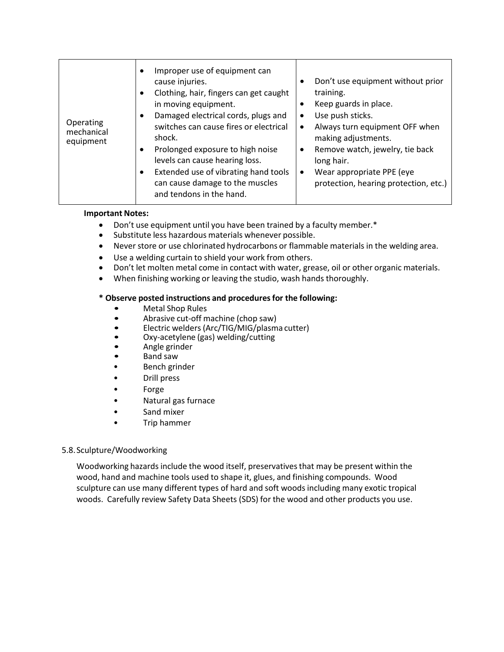| Improper use of equipment can<br>٠<br>cause injuries.<br>Clothing, hair, fingers can get caught<br>in moving equipment.<br>$\bullet$<br>Damaged electrical cords, plugs and<br>$\bullet$<br>٠<br>Operating<br>switches can cause fires or electrical<br>٠<br>mechanical<br>shock.<br>equipment<br>Prolonged exposure to high noise<br>٠<br>٠<br>levels can cause hearing loss.<br>Extended use of vibrating hand tools<br>$\bullet$<br>٠<br>can cause damage to the muscles<br>and tendons in the hand. | Don't use equipment without prior<br>training.<br>Keep guards in place.<br>Use push sticks.<br>Always turn equipment OFF when<br>making adjustments.<br>Remove watch, jewelry, tie back<br>long hair.<br>Wear appropriate PPE (eye<br>protection, hearing protection, etc.) |
|---------------------------------------------------------------------------------------------------------------------------------------------------------------------------------------------------------------------------------------------------------------------------------------------------------------------------------------------------------------------------------------------------------------------------------------------------------------------------------------------------------|-----------------------------------------------------------------------------------------------------------------------------------------------------------------------------------------------------------------------------------------------------------------------------|
|---------------------------------------------------------------------------------------------------------------------------------------------------------------------------------------------------------------------------------------------------------------------------------------------------------------------------------------------------------------------------------------------------------------------------------------------------------------------------------------------------------|-----------------------------------------------------------------------------------------------------------------------------------------------------------------------------------------------------------------------------------------------------------------------------|

## **Important Notes:**

- Don't use equipment until you have been trained by a faculty member.\*
- Substitute less hazardous materials whenever possible.
- Never store or use chlorinated hydrocarbons or flammable materials in the welding area.
- Use a welding curtain to shield your work from others.
- Don't let molten metal come in contact with water, grease, oil or other organic materials.
- When finishing working or leaving the studio, wash hands thoroughly.

# **\* Observe posted instructions and proceduresfor the following:**

- Metal Shop Rules
- Abrasive cut-off machine (chop saw)
- Electric welders (Arc/TIG/MIG/plasma cutter)
- Oxy-acetylene (gas) welding/cutting
- Angle grinder
- Band saw
- Bench grinder
- Drill press
- Forge
- Natural gas furnace
- Sand mixer
- Trip hammer

# <span id="page-25-0"></span>5.8.Sculpture/Woodworking

Woodworking hazards include the wood itself, preservatives that may be present within the wood, hand and machine tools used to shape it, glues, and finishing compounds. Wood sculpture can use many different types of hard and soft woods including many exotic tropical woods. Carefully review Safety Data Sheets (SDS) for the wood and other products you use.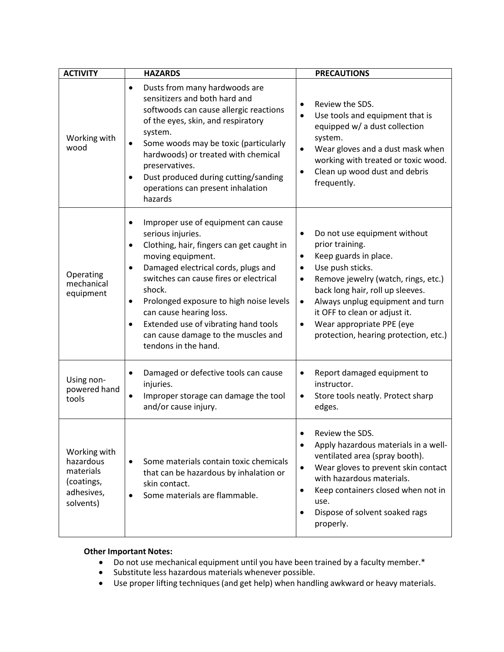| <b>ACTIVITY</b>                                                                 | <b>HAZARDS</b>                                                                                                                                                                                                                                                                                                                                                                                                                              | <b>PRECAUTIONS</b>                                                                                                                                                                                                                                                                                                                                                                               |
|---------------------------------------------------------------------------------|---------------------------------------------------------------------------------------------------------------------------------------------------------------------------------------------------------------------------------------------------------------------------------------------------------------------------------------------------------------------------------------------------------------------------------------------|--------------------------------------------------------------------------------------------------------------------------------------------------------------------------------------------------------------------------------------------------------------------------------------------------------------------------------------------------------------------------------------------------|
| Working with<br>wood                                                            | Dusts from many hardwoods are<br>$\bullet$<br>sensitizers and both hard and<br>softwoods can cause allergic reactions<br>of the eyes, skin, and respiratory<br>system.<br>Some woods may be toxic (particularly<br>$\bullet$<br>hardwoods) or treated with chemical<br>preservatives.<br>Dust produced during cutting/sanding<br>٠<br>operations can present inhalation<br>hazards                                                          | Review the SDS.<br>$\bullet$<br>Use tools and equipment that is<br>$\bullet$<br>equipped w/ a dust collection<br>system.<br>Wear gloves and a dust mask when<br>$\bullet$<br>working with treated or toxic wood.<br>Clean up wood dust and debris<br>$\bullet$<br>frequently.                                                                                                                    |
| Operating<br>mechanical<br>equipment                                            | Improper use of equipment can cause<br>٠<br>serious injuries.<br>Clothing, hair, fingers can get caught in<br>٠<br>moving equipment.<br>Damaged electrical cords, plugs and<br>$\bullet$<br>switches can cause fires or electrical<br>shock.<br>Prolonged exposure to high noise levels<br>$\bullet$<br>can cause hearing loss.<br>Extended use of vibrating hand tools<br>٠<br>can cause damage to the muscles and<br>tendons in the hand. | Do not use equipment without<br>$\bullet$<br>prior training.<br>Keep guards in place.<br>$\bullet$<br>Use push sticks.<br>$\bullet$<br>Remove jewelry (watch, rings, etc.)<br>$\bullet$<br>back long hair, roll up sleeves.<br>Always unplug equipment and turn<br>$\bullet$<br>it OFF to clean or adjust it.<br>Wear appropriate PPE (eye<br>$\bullet$<br>protection, hearing protection, etc.) |
| Using non-<br>powered hand<br>tools                                             | Damaged or defective tools can cause<br>٠<br>injuries.<br>Improper storage can damage the tool<br>$\bullet$<br>and/or cause injury.                                                                                                                                                                                                                                                                                                         | Report damaged equipment to<br>$\bullet$<br>instructor.<br>Store tools neatly. Protect sharp<br>$\bullet$<br>edges.                                                                                                                                                                                                                                                                              |
| Working with<br>hazardous<br>materials<br>(coatings,<br>adhesives,<br>solvents) | Some materials contain toxic chemicals<br>$\bullet$<br>that can be hazardous by inhalation or<br>skin contact.<br>Some materials are flammable.                                                                                                                                                                                                                                                                                             | Review the SDS.<br>Apply hazardous materials in a well-<br>$\bullet$<br>ventilated area (spray booth).<br>Wear gloves to prevent skin contact<br>$\bullet$<br>with hazardous materials.<br>Keep containers closed when not in<br>$\bullet$<br>use.<br>Dispose of solvent soaked rags<br>$\bullet$<br>properly.                                                                                   |

- Do not use mechanical equipment until you have been trained by a faculty member.\*
- Substitute less hazardous materials whenever possible.
- Use proper lifting techniques(and get help) when handling awkward or heavy materials.